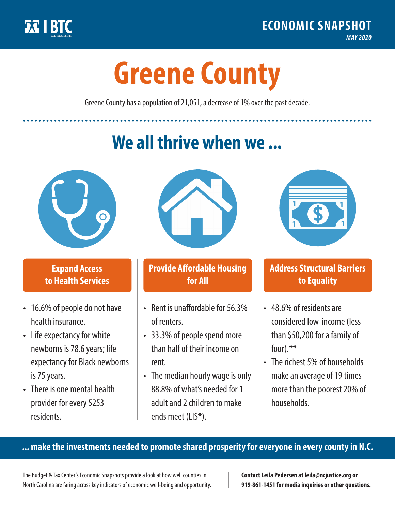

**1**

# **Greene County**

Greene County has a population of 21,051, a decrease of 1% over the past decade.

# **We all thrive when we ...**



**\$ <sup>1</sup>**

**\$ <sup>1</sup>**

## **Expand Access to Health Services**

- 16.6% of people do not have health insurance.
- Life expectancy for white newborns is 78.6years; life expectancy for Black newborns is 75 years.
- There is one mental health provider for every 5253 residents.



## **Provide Affordable Housing for All**

- Rent is unaffordable for 56.3% of renters.
- 33.3% of people spend more than half of their income on rent.
- The median hourly wage is only 88.8% of what's needed for 1 adult and 2 children to make ends meet (LIS\*).



## **Address Structural Barriers to Equality**

- 48.6% of residents are considered low-income (less than \$50,200 for a family of four).\*\*
- The richest 5% of households make an average of 19 times more than the poorest 20% of households.

#### **... make the investments needed to promote shared prosperity for everyone in every county in N.C.**

The Budget & Tax Center's Economic Snapshots provide a look at how well counties in North Carolina are faring across key indicators of economic well-being and opportunity.